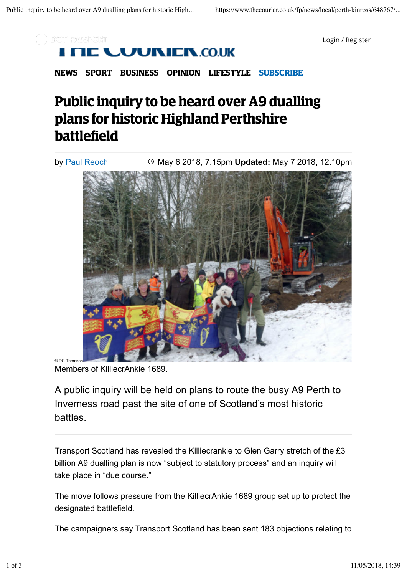

Login / Register



**NEWS SPORT BUSINESS OPINION LIFESTYLE SUBSCRIBE**

## **Public inquiry to be heard over A9 dualling plans for historic Highland Perthshire battlefield**

 May 6 2018, 7.15pm **Updated:** May 7 2018, 12.10pm by Paul Reoch

Members of KilliecrAnkie 1689.

© DC Thon

A public inquiry will be held on plans to route the busy A9 Perth to Inverness road past the site of one of Scotland's most historic battles.

Transport Scotland has revealed the Killiecrankie to Glen Garry stretch of the £3 billion A9 dualling plan is now "subject to statutory process" and an inquiry will take place in "due course."

The move follows pressure from the KilliecrAnkie 1689 group set up to protect the designated battlefield.

The campaigners say Transport Scotland has been sent 183 objections relating to